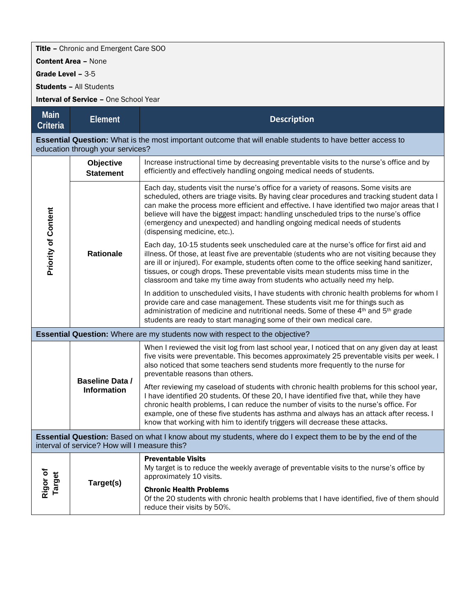## Title – Chronic and Emergent Care SOO

Content Area – None

Grade Level – 3-5

Students – All Students

Interval of Service - One School Year

| <b>Main</b><br><b>Criteria</b>                                                                                                                              | <b>Element</b>                               | <b>Description</b>                                                                                                                                                                                                                                                                                                                                                                                                                                                                         |  |
|-------------------------------------------------------------------------------------------------------------------------------------------------------------|----------------------------------------------|--------------------------------------------------------------------------------------------------------------------------------------------------------------------------------------------------------------------------------------------------------------------------------------------------------------------------------------------------------------------------------------------------------------------------------------------------------------------------------------------|--|
| <b>Essential Question:</b> What is the most important outcome that will enable students to have better access to<br>education through your services?        |                                              |                                                                                                                                                                                                                                                                                                                                                                                                                                                                                            |  |
| <b>Priority of Content</b>                                                                                                                                  | Objective<br><b>Statement</b>                | Increase instructional time by decreasing preventable visits to the nurse's office and by<br>efficiently and effectively handling ongoing medical needs of students.                                                                                                                                                                                                                                                                                                                       |  |
|                                                                                                                                                             | <b>Rationale</b>                             | Each day, students visit the nurse's office for a variety of reasons. Some visits are<br>scheduled, others are triage visits. By having clear procedures and tracking student data I<br>can make the process more efficient and effective. I have identified two major areas that I<br>believe will have the biggest impact: handling unscheduled trips to the nurse's office<br>(emergency and unexpected) and handling ongoing medical needs of students<br>(dispensing medicine, etc.). |  |
|                                                                                                                                                             |                                              | Each day, 10-15 students seek unscheduled care at the nurse's office for first aid and<br>illness. Of those, at least five are preventable (students who are not visiting because they<br>are ill or injured). For example, students often come to the office seeking hand sanitizer,<br>tissues, or cough drops. These preventable visits mean students miss time in the<br>classroom and take my time away from students who actually need my help.                                      |  |
|                                                                                                                                                             |                                              | In addition to unscheduled visits, I have students with chronic health problems for whom I<br>provide care and case management. These students visit me for things such as<br>administration of medicine and nutritional needs. Some of these 4 <sup>th</sup> and 5 <sup>th</sup> grade<br>students are ready to start managing some of their own medical care.                                                                                                                            |  |
| Essential Question: Where are my students now with respect to the objective?                                                                                |                                              |                                                                                                                                                                                                                                                                                                                                                                                                                                                                                            |  |
|                                                                                                                                                             | <b>Baseline Data /</b><br><b>Information</b> | When I reviewed the visit log from last school year, I noticed that on any given day at least<br>five visits were preventable. This becomes approximately 25 preventable visits per week. I<br>also noticed that some teachers send students more frequently to the nurse for<br>preventable reasons than others.                                                                                                                                                                          |  |
|                                                                                                                                                             |                                              | After reviewing my caseload of students with chronic health problems for this school year,<br>I have identified 20 students. Of these 20, I have identified five that, while they have<br>chronic health problems, I can reduce the number of visits to the nurse's office. For<br>example, one of these five students has asthma and always has an attack after recess. I<br>know that working with him to identify triggers will decrease these attacks.                                 |  |
| Essential Question: Based on what I know about my students, where do I expect them to be by the end of the<br>interval of service? How will I measure this? |                                              |                                                                                                                                                                                                                                                                                                                                                                                                                                                                                            |  |
| Rigor of<br>Target                                                                                                                                          | Target(s)                                    | <b>Preventable Visits</b><br>My target is to reduce the weekly average of preventable visits to the nurse's office by<br>approximately 10 visits.                                                                                                                                                                                                                                                                                                                                          |  |
|                                                                                                                                                             |                                              | <b>Chronic Health Problems</b><br>Of the 20 students with chronic health problems that I have identified, five of them should<br>reduce their visits by 50%.                                                                                                                                                                                                                                                                                                                               |  |